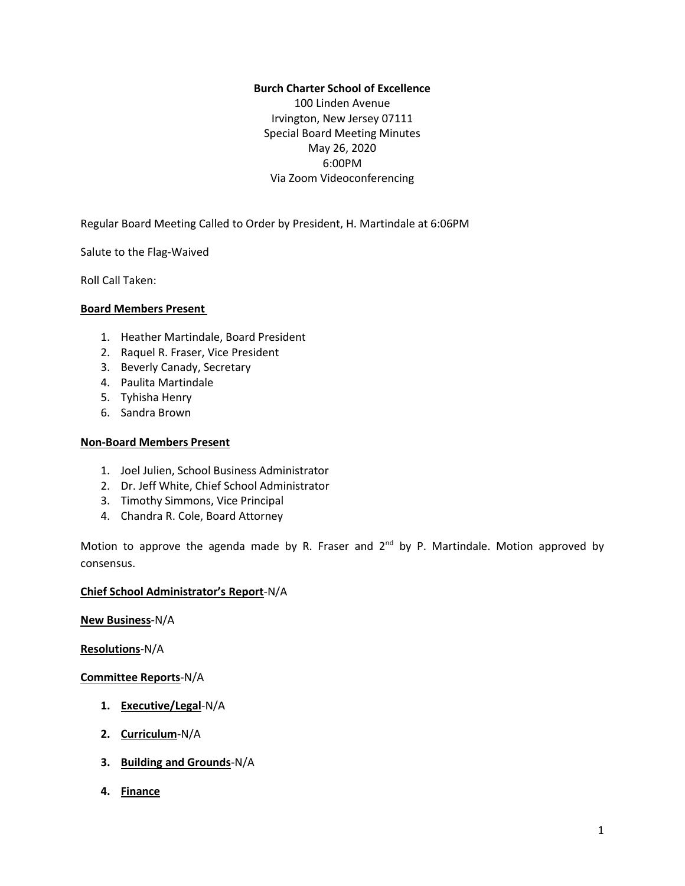# **Burch Charter School of Excellence**

100 Linden Avenue Irvington, New Jersey 07111 Special Board Meeting Minutes May 26, 2020 6:00PM Via Zoom Videoconferencing

Regular Board Meeting Called to Order by President, H. Martindale at 6:06PM

Salute to the Flag-Waived

Roll Call Taken:

### **Board Members Present**

- 1. Heather Martindale, Board President
- 2. Raquel R. Fraser, Vice President
- 3. Beverly Canady, Secretary
- 4. Paulita Martindale
- 5. Tyhisha Henry
- 6. Sandra Brown

## **Non-Board Members Present**

- 1. Joel Julien, School Business Administrator
- 2. Dr. Jeff White, Chief School Administrator
- 3. Timothy Simmons, Vice Principal
- 4. Chandra R. Cole, Board Attorney

Motion to approve the agenda made by R. Fraser and 2<sup>nd</sup> by P. Martindale. Motion approved by consensus.

### **Chief School Administrator's Report**-N/A

**New Business**-N/A

**Resolutions**-N/A

### **Committee Reports**-N/A

- **1. Executive/Legal**-N/A
- **2. Curriculum**-N/A
- **3. Building and Grounds**-N/A
- **4. Finance**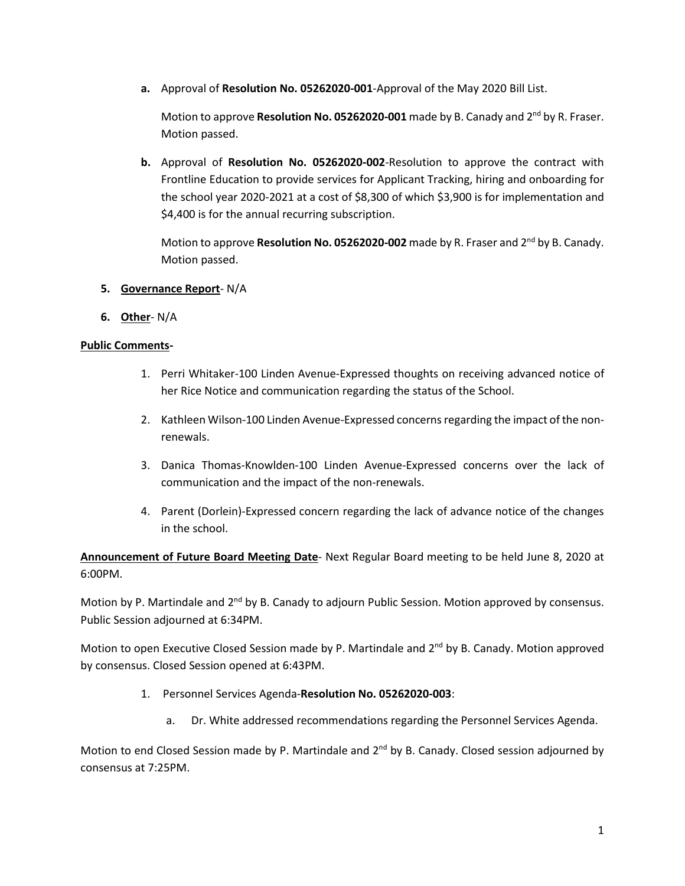**a.** Approval of **Resolution No. 05262020-001**-Approval of the May 2020 Bill List.

Motion to approve Resolution No. 05262020-001 made by B. Canady and 2<sup>nd</sup> by R. Fraser. Motion passed.

**b.** Approval of **Resolution No. 05262020-002**-Resolution to approve the contract with Frontline Education to provide services for Applicant Tracking, hiring and onboarding for the school year 2020-2021 at a cost of \$8,300 of which \$3,900 is for implementation and \$4,400 is for the annual recurring subscription.

Motion to approve **Resolution No. 05262020-002** made by R. Fraser and 2 nd by B. Canady. Motion passed.

- **5. Governance Report** N/A
- **6. Other** N/A

# **Public Comments-**

- 1. Perri Whitaker-100 Linden Avenue-Expressed thoughts on receiving advanced notice of her Rice Notice and communication regarding the status of the School.
- 2. Kathleen Wilson-100 Linden Avenue-Expressed concerns regarding the impact of the nonrenewals.
- 3. Danica Thomas-Knowlden-100 Linden Avenue-Expressed concerns over the lack of communication and the impact of the non-renewals.
- 4. Parent (Dorlein)-Expressed concern regarding the lack of advance notice of the changes in the school.

**Announcement of Future Board Meeting Date**- Next Regular Board meeting to be held June 8, 2020 at 6:00PM.

Motion by P. Martindale and 2<sup>nd</sup> by B. Canady to adjourn Public Session. Motion approved by consensus. Public Session adjourned at 6:34PM.

Motion to open Executive Closed Session made by P. Martindale and 2<sup>nd</sup> by B. Canady. Motion approved by consensus. Closed Session opened at 6:43PM.

- 1. Personnel Services Agenda-**Resolution No. 05262020-003**:
	- a. Dr. White addressed recommendations regarding the Personnel Services Agenda.

Motion to end Closed Session made by P. Martindale and 2<sup>nd</sup> by B. Canady. Closed session adjourned by consensus at 7:25PM.